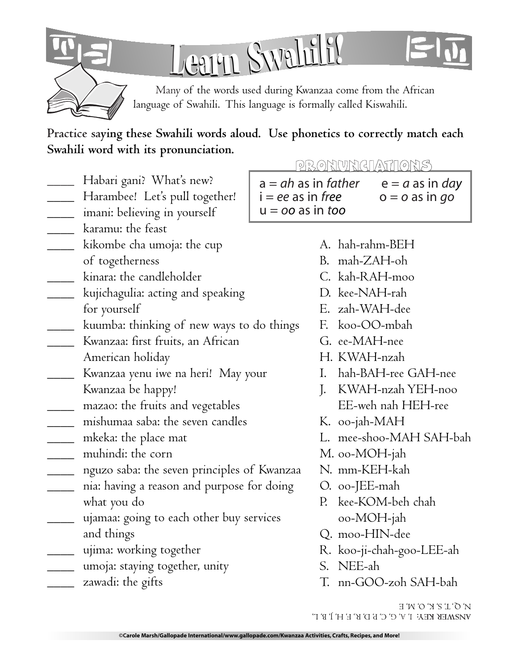

Learn Swahili?

Many of the words used during Kwanzaa come from the African language of Swahili. This language is formally called Kiswahili.

Practice saying these Swahili words aloud. Use phonetics to correctly match each Swahili word with its pronunciation.

- Habari gani? What's new?
- \_\_\_\_\_ Harambee! Let's pull together!
- \_\_\_\_\_ imani: believing in yourself
- karamu: the feast
- \_\_\_\_\_ kikombe cha umoja: the cup
- of togetherness
- kinara: the candleholder
- \_\_\_\_\_ kujichagulia: acting and speaking for yourself
- <u>Lacence</u> kuumba: thinking of new ways to do things
- Kwanzaa: first fruits, an African
- American holiday
- Kwanzaa yenu iwe na heri! May your
- Kwanzaa be happy!
- \_\_\_\_\_ mazao: the fruits and vegetables
- \_\_\_\_\_ mishumaa saba: the seven candles
- \_\_\_\_ mkeka: the place mat
- muhindi: the corn
- \_\_\_\_\_ nguzo saba: the seven principles of Kwanzaa
- nia: having a reason and purpose for doing what you do
- ujamaa: going to each other buy services and things
- ujima: working together
- \_\_\_\_ umoja: staying together, unity
- zawadi: the gifts

PRONVNGIATIONS  $a = ah$  as in father  $i = ee$  as in free  $u = \alpha \alpha$  as in too

- $e = a$  as in day  $o = o$  as in go
- A. hah-rahm-BEH
- B. mah-ZAH-oh
- $C.$  kah-RAH-moo
- D. kee-NAH-rah
- E. zah-WAH-dee
- F. koo-OO-mbah
- G. ee-MAH-nee
- H. KWAH-nzah
- I. hah-BAH-ree GAH-nee
- I. KWAH-nzah YEH-noo EE-weh nah HEH-ree
- K. oo-jah-MAH
- L. mee-shoo-MAH SAH-bah
- M. oo-MOH-jah
- N. mm-KEH-kah
- O. oo-JEE-mah
- P. kee-KOM-beh chah oo-MOH-jah
- Q. moo-HIN-dee
- R. koo-ji-chah-goo-LEE-ah
- S. NEE-ah
- T. nn-GOO-zoh SAH-bah
- $N'$   $\mathcal{O}'$   $\mathcal{L}'$   $\mathcal{E}'$   $\mathcal{E}'$   $\mathcal{O}'$   $\mathcal{N}'$  E VIRMEK KEX: I' V' C' C' b' D' K' E' H' l' B' T'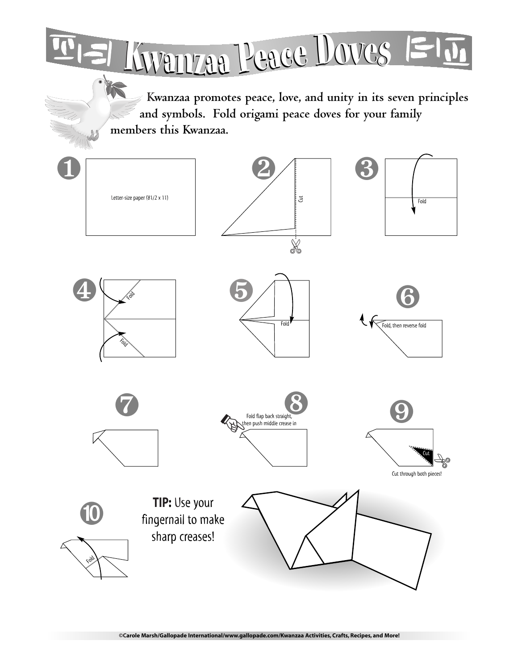